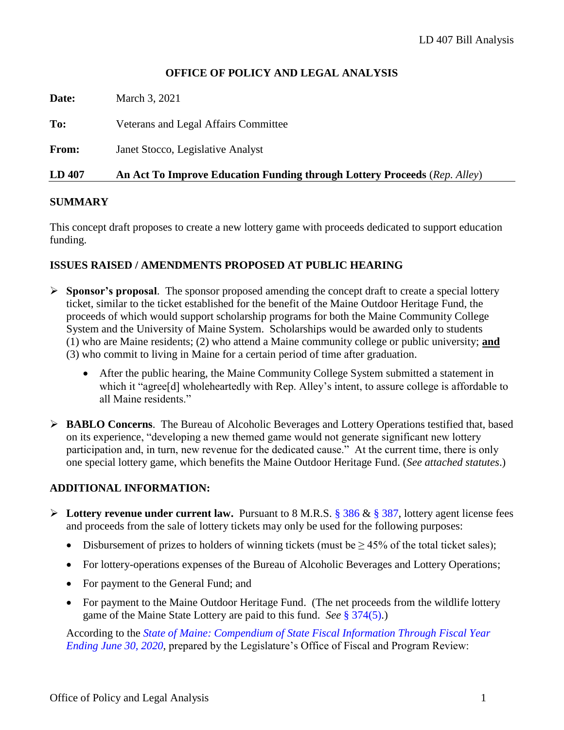### **OFFICE OF POLICY AND LEGAL ANALYSIS**

| <b>LD 407</b> | An Act To Improve Education Funding through Lottery Proceeds (Rep. Alley) |
|---------------|---------------------------------------------------------------------------|
| <b>From:</b>  | Janet Stocco, Legislative Analyst                                         |
| To:           | Veterans and Legal Affairs Committee                                      |
| Date:         | March 3, 2021                                                             |

### **SUMMARY**

This concept draft proposes to create a new lottery game with proceeds dedicated to support education funding.

### **ISSUES RAISED / AMENDMENTS PROPOSED AT PUBLIC HEARING**

- ➢ **Sponsor's proposal**. The sponsor proposed amending the concept draft to create a special lottery ticket, similar to the ticket established for the benefit of the Maine Outdoor Heritage Fund, the proceeds of which would support scholarship programs for both the Maine Community College System and the University of Maine System. Scholarships would be awarded only to students (1) who are Maine residents; (2) who attend a Maine community college or public university; **and** (3) who commit to living in Maine for a certain period of time after graduation.
	- After the public hearing, the Maine Community College System submitted a statement in which it "agree<sup>[d]</sup> wholeheartedly with Rep. Alley's intent, to assure college is affordable to all Maine residents."
- ➢ **BABLO Concerns**. The Bureau of Alcoholic Beverages and Lottery Operations testified that, based on its experience, "developing a new themed game would not generate significant new lottery participation and, in turn, new revenue for the dedicated cause." At the current time, there is only one special lottery game, which benefits the Maine Outdoor Heritage Fund. (*See attached statutes*.)

### **ADDITIONAL INFORMATION:**

- ➢ **Lottery revenue under current law.** Pursuant to 8 M.R.S. § [386](http://legislature.maine.gov/legis/statutes/8/title8sec386.html) & § [387,](http://legislature.maine.gov/legis/statutes/8/title8sec387.html) lottery agent license fees and proceeds from the sale of lottery tickets may only be used for the following purposes:
	- Disbursement of prizes to holders of winning tickets (must be  $\geq$  45% of the total ticket sales);
	- For lottery-operations expenses of the Bureau of Alcoholic Beverages and Lottery Operations;
	- For payment to the General Fund; and
	- For payment to the Maine Outdoor Heritage Fund. (The net proceeds from the wildlife lottery game of the Maine State Lottery are paid to this fund. *See* § [374\(5\).](http://legislature.maine.gov/legis/statutes/8/title8sec374.html))

According to the *[State of Maine: Compendium of State Fiscal Information Through Fiscal Year](https://legislature.maine.gov/doc/4877)  [Ending June 30, 2020,](https://legislature.maine.gov/doc/4877)* prepared by the Legislature's Office of Fiscal and Program Review: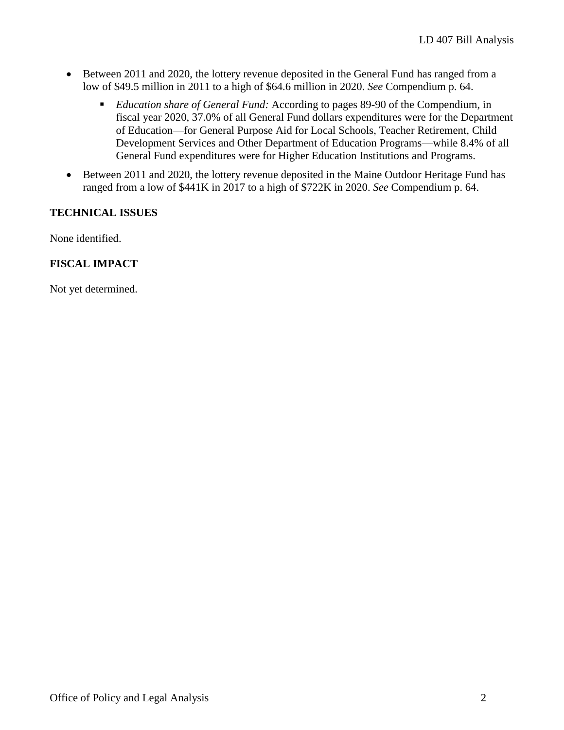- Between 2011 and 2020, the lottery revenue deposited in the General Fund has ranged from a low of \$49.5 million in 2011 to a high of \$64.6 million in 2020. *See* Compendium p. 64.
	- *Education share of General Fund:* According to pages 89-90 of the Compendium, in fiscal year 2020, 37.0% of all General Fund dollars expenditures were for the Department of Education—for General Purpose Aid for Local Schools, Teacher Retirement, Child Development Services and Other Department of Education Programs—while 8.4% of all General Fund expenditures were for Higher Education Institutions and Programs.
- Between 2011 and 2020, the lottery revenue deposited in the Maine Outdoor Heritage Fund has ranged from a low of \$441K in 2017 to a high of \$722K in 2020. *See* Compendium p. 64.

### **TECHNICAL ISSUES**

None identified.

### **FISCAL IMPACT**

Not yet determined.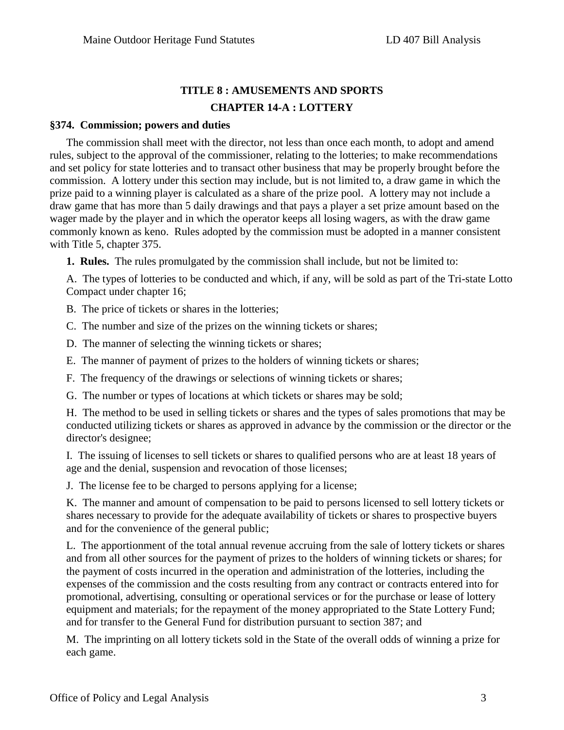## **TITLE 8 : AMUSEMENTS AND SPORTS CHAPTER 14-A : LOTTERY**

### **§374. Commission; powers and duties**

The commission shall meet with the director, not less than once each month, to adopt and amend rules, subject to the approval of the commissioner, relating to the lotteries; to make recommendations and set policy for state lotteries and to transact other business that may be properly brought before the commission. A lottery under this section may include, but is not limited to, a draw game in which the prize paid to a winning player is calculated as a share of the prize pool. A lottery may not include a draw game that has more than 5 daily drawings and that pays a player a set prize amount based on the wager made by the player and in which the operator keeps all losing wagers, as with the draw game commonly known as keno. Rules adopted by the commission must be adopted in a manner consistent with Title 5, chapter 375.

**1. Rules.** The rules promulgated by the commission shall include, but not be limited to:

A. The types of lotteries to be conducted and which, if any, will be sold as part of the Tri-state Lotto Compact under chapter 16;

B. The price of tickets or shares in the lotteries;

C. The number and size of the prizes on the winning tickets or shares;

D. The manner of selecting the winning tickets or shares;

E. The manner of payment of prizes to the holders of winning tickets or shares;

F. The frequency of the drawings or selections of winning tickets or shares;

G. The number or types of locations at which tickets or shares may be sold;

H. The method to be used in selling tickets or shares and the types of sales promotions that may be conducted utilizing tickets or shares as approved in advance by the commission or the director or the director's designee;

I. The issuing of licenses to sell tickets or shares to qualified persons who are at least 18 years of age and the denial, suspension and revocation of those licenses;

J. The license fee to be charged to persons applying for a license;

K. The manner and amount of compensation to be paid to persons licensed to sell lottery tickets or shares necessary to provide for the adequate availability of tickets or shares to prospective buyers and for the convenience of the general public;

L. The apportionment of the total annual revenue accruing from the sale of lottery tickets or shares and from all other sources for the payment of prizes to the holders of winning tickets or shares; for the payment of costs incurred in the operation and administration of the lotteries, including the expenses of the commission and the costs resulting from any contract or contracts entered into for promotional, advertising, consulting or operational services or for the purchase or lease of lottery equipment and materials; for the repayment of the money appropriated to the State Lottery Fund; and for transfer to the General Fund for distribution pursuant to section 387; and

M. The imprinting on all lottery tickets sold in the State of the overall odds of winning a prize for each game.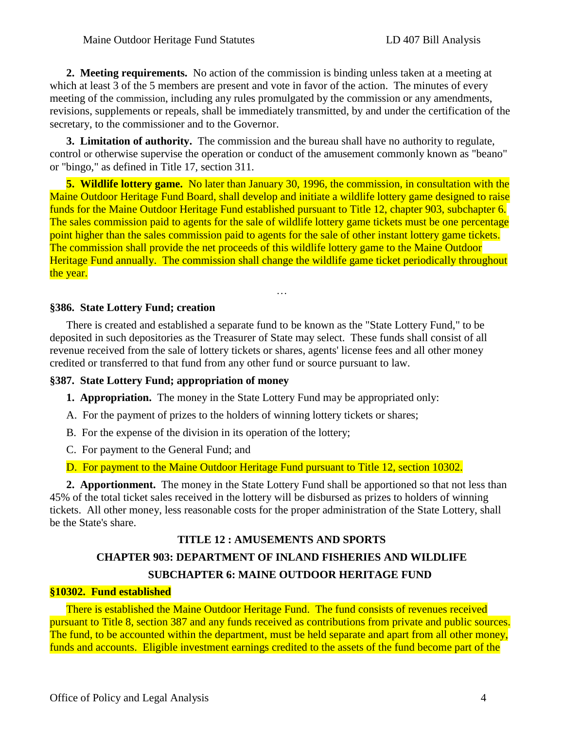**2. Meeting requirements.** No action of the commission is binding unless taken at a meeting at which at least 3 of the 5 members are present and vote in favor of the action. The minutes of every meeting of the commission, including any rules promulgated by the commission or any amendments, revisions, supplements or repeals, shall be immediately transmitted, by and under the certification of the secretary, to the commissioner and to the Governor.

**3. Limitation of authority.** The commission and the bureau shall have no authority to regulate, control or otherwise supervise the operation or conduct of the amusement commonly known as "beano" or "bingo," as defined in Title 17, section 311.

**5. Wildlife lottery game.** No later than January 30, 1996, the commission, in consultation with the Maine Outdoor Heritage Fund Board, shall develop and initiate a wildlife lottery game designed to raise funds for the Maine Outdoor Heritage Fund established pursuant to Title 12, chapter 903, subchapter 6. The sales commission paid to agents for the sale of wildlife lottery game tickets must be one percentage point higher than the sales commission paid to agents for the sale of other instant lottery game tickets. The commission shall provide the net proceeds of this wildlife lottery game to the Maine Outdoor Heritage Fund annually. The commission shall change the wildlife game ticket periodically throughout the year.

…

### **§386. State Lottery Fund; creation**

There is created and established a separate fund to be known as the "State Lottery Fund," to be deposited in such depositories as the Treasurer of State may select. These funds shall consist of all revenue received from the sale of lottery tickets or shares, agents' license fees and all other money credited or transferred to that fund from any other fund or source pursuant to law.

### **§387. State Lottery Fund; appropriation of money**

- **1. Appropriation.** The money in the State Lottery Fund may be appropriated only:
- A. For the payment of prizes to the holders of winning lottery tickets or shares;
- B. For the expense of the division in its operation of the lottery;
- C. For payment to the General Fund; and
- D. For payment to the Maine Outdoor Heritage Fund pursuant to Title 12, section 10302.

**2. Apportionment.** The money in the State Lottery Fund shall be apportioned so that not less than 45% of the total ticket sales received in the lottery will be disbursed as prizes to holders of winning tickets. All other money, less reasonable costs for the proper administration of the State Lottery, shall be the State's share.

# **TITLE 12 : AMUSEMENTS AND SPORTS CHAPTER 903: DEPARTMENT OF INLAND FISHERIES AND WILDLIFE SUBCHAPTER 6: MAINE OUTDOOR HERITAGE FUND**

### **§10302. Fund established**

There is established the Maine Outdoor Heritage Fund. The fund consists of revenues received pursuant to Title 8, section 387 and any funds received as contributions from private and public sources. The fund, to be accounted within the department, must be held separate and apart from all other money, funds and accounts. Eligible investment earnings credited to the assets of the fund become part of the